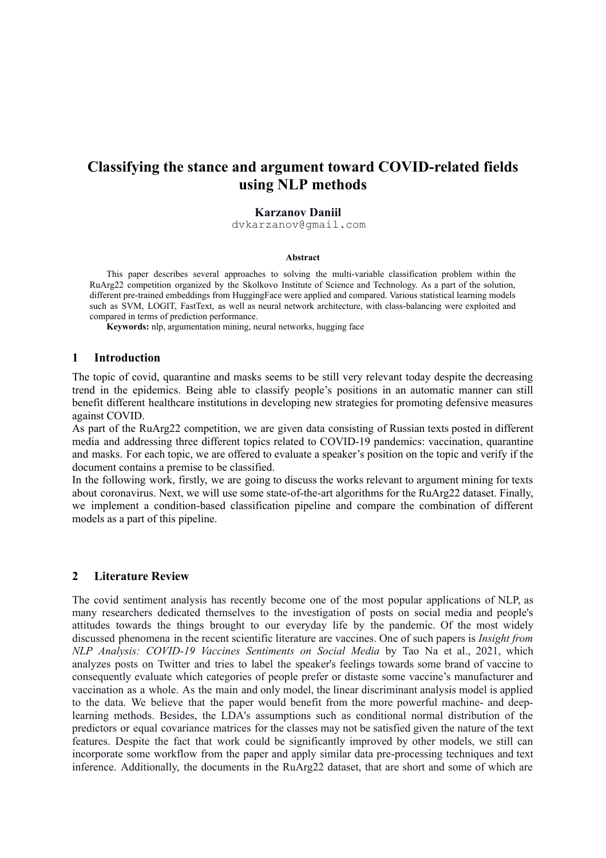# **Classifying the stance and argument toward COVID-related fields using NLP methods**

### **Karzanov Daniil**

dvkarzanov@gmail.com

#### **Abstract**

This paper describes several approaches to solving the multi-variable classification problem within the RuArg22 competition organized by the Skolkovo Institute of Science and Technology. As a part of the solution, different pre-trained embeddings from HuggingFace were applied and compared. Various statistical learning models such as SVM, LOGIT, FastText, as well as neural network architecture, with class-balancing were exploited and compared in terms of prediction performance.

**Keywords:** nlp, argumentation mining, neural networks, hugging face

#### **1 Introduction**

The topic of covid, quarantine and masks seems to be still very relevant today despite the decreasing trend in the epidemics. Being able to classify people's positions in an automatic manner can still benefit different healthcare institutions in developing new strategies for promoting defensive measures against COVID.

As part of the RuArg22 competition, we are given data consisting of Russian texts posted in different media and addressing three different topics related to COVID-19 pandemics: vaccination, quarantine and masks. For each topic, we are offered to evaluate a speaker's position on the topic and verify if the document contains a premise to be classified.

In the following work, firstly, we are going to discuss the works relevant to argument mining for texts about coronavirus. Next, we will use some state-of-the-art algorithms for the RuArg22 dataset. Finally, we implement a condition-based classification pipeline and compare the combination of different models as a part of this pipeline.

#### **2 Literature Review**

The covid sentiment analysis has recently become one of the most popular applications of NLP, as many researchers dedicated themselves to the investigation of posts on social media and people's attitudes towards the things brought to our everyday life by the pandemic. Of the most widely discussed phenomena in the recent scientific literature are vaccines. One of such papers is *Insight from NLP Analysis: COVID-19 Vaccines Sentiments on Social Media* by Tao Na et al., 2021, which analyzes posts on Twitter and tries to label the speaker's feelings towards some brand of vaccine to consequently evaluate which categories of people prefer or distaste some vaccine's manufacturer and vaccination as a whole. As the main and only model, the linear discriminant analysis model is applied to the data. We believe that the paper would benefit from the more powerful machine- and deeplearning methods. Besides, the LDA's assumptions such as conditional normal distribution of the predictors or equal covariance matrices for the classes may not be satisfied given the nature of the text features. Despite the fact that work could be significantly improved by other models, we still can incorporate some workflow from the paper and apply similar data pre-processing techniques and text inference. Additionally, the documents in the RuArg22 dataset, that are short and some of which are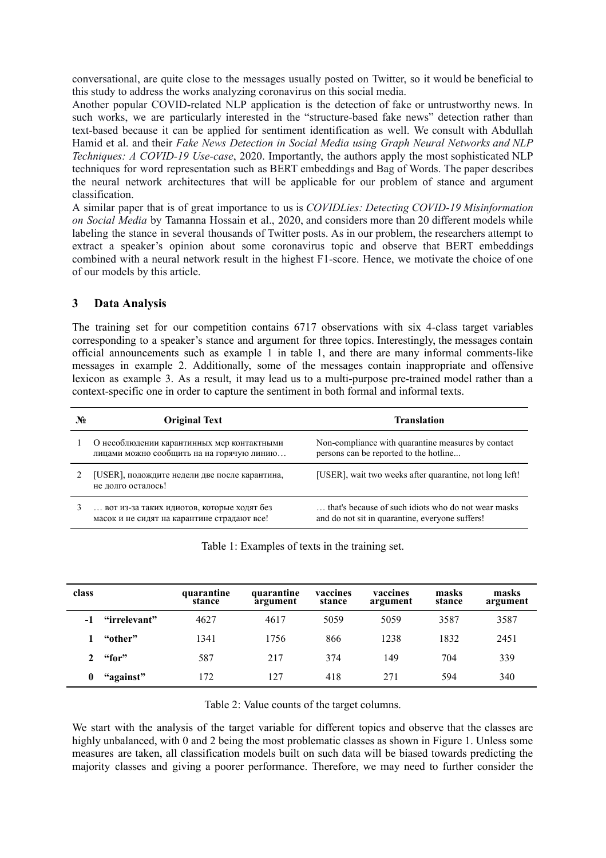conversational, are quite close to the messages usually posted on Twitter, so it would be beneficial to this study to address the works analyzing coronavirus on this social media.

Another popular COVID-related NLP application is the detection of fake or untrustworthy news. In such works, we are particularly interested in the "structure-based fake news" detection rather than text-based because it can be applied for sentiment identification as well. We consult with Abdullah Hamid et al. and their *Fake News Detection in Social Media using Graph Neural Networks and NLP Techniques: A COVID-19 Use-case*, 2020. Importantly, the authors apply the most sophisticated NLP techniques for word representation such as BERT embeddings and Bag of Words. The paper describes the neural network architectures that will be applicable for our problem of stance and argument classification.

A similar paper that is of great importance to us is *COVIDLies: Detecting COVID-19 Misinformation on Social Media* by Tamanna Hossain et al., 2020, and considers more than 20 different models while labeling the stance in several thousands of Twitter posts. As in our problem, the researchers attempt to extract a speaker's opinion about some coronavirus topic and observe that BERT embeddings combined with a neural network result in the highest F1-score. Hence, we motivate the choice of one of our models by this article.

### **3 Data Analysis**

The training set for our competition contains 6717 observations with six 4-class target variables corresponding to a speaker's stance and argument for three topics. Interestingly, the messages contain official announcements such as example 1 in table 1, and there are many informal comments-like messages in example 2. Additionally, some of the messages contain inappropriate and offensive lexicon as example 3. As a result, it may lead us to a multi-purpose pre-trained model rather than a context-specific one in order to capture the sentiment in both formal and informal texts.

| $\mathbf{N_2}$ | <b>Original Text</b>                                                                      | <b>Translation</b>                                                                                     |  |  |  |
|----------------|-------------------------------------------------------------------------------------------|--------------------------------------------------------------------------------------------------------|--|--|--|
|                | О несоблюдении карантинных мер контактными<br>лицами можно сообщить на на горячую линию   | Non-compliance with quarantine measures by contact<br>persons can be reported to the hotline           |  |  |  |
|                | [USER], подождите недели две после карантина,<br>не долго осталось!                       | [USER], wait two weeks after quarantine, not long left!                                                |  |  |  |
|                | вот из-за таких идиотов, которые ходят без<br>масок и не сидят на карантине страдают все! | that's because of such idiots who do not wear masks<br>and do not sit in quarantine, everyone suffers! |  |  |  |

| Table 1: Examples of texts in the training set. |  |  |
|-------------------------------------------------|--|--|
|                                                 |  |  |

| class |              | quarantine<br>stance | quarantine<br>argument | vaccines<br>stance | vaccines<br>argument | masks<br>stance | masks<br>argument |
|-------|--------------|----------------------|------------------------|--------------------|----------------------|-----------------|-------------------|
|       | "irrelevant" | 4627                 | 4617                   | 5059               | 5059                 | 3587            | 3587              |
|       | "other"      | 1341                 | 1756                   | 866                | 1238                 | 1832            | 2451              |
|       | "for"        | 587                  | 217                    | 374                | 149                  | 704             | 339               |
| 0     | "against"    | 172                  | 127                    | 418                | 271                  | 594             | 340               |

Table 2: Value counts of the target columns.

We start with the analysis of the target variable for different topics and observe that the classes are highly unbalanced, with 0 and 2 being the most problematic classes as shown in Figure 1. Unless some measures are taken, all classification models built on such data will be biased towards predicting the majority classes and giving a poorer performance. Therefore, we may need to further consider the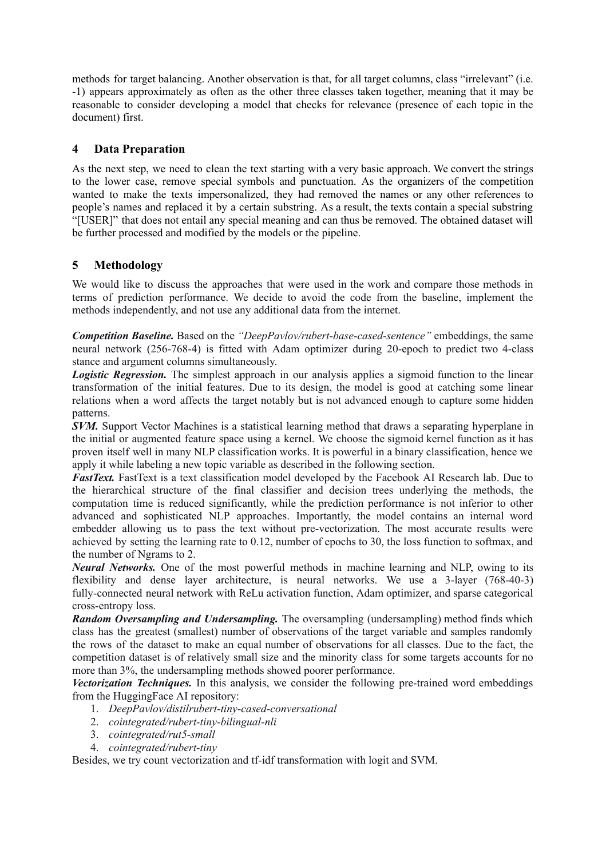methods for target balancing. Another observation is that, for all target columns, class "irrelevant" (i.e. -1) appears approximately as often as the other three classes taken together, meaning that it may be reasonable to consider developing a model that checks for relevance (presence of each topic in the document) first.

### **4 Data Preparation**

As the next step, we need to clean the text starting with a very basic approach. We convert the strings to the lower case, remove special symbols and punctuation. As the organizers of the competition wanted to make the texts impersonalized, they had removed the names or any other references to people's names and replaced it by a certain substring. As a result, the texts contain a special substring "[USER]" that does not entail any special meaning and can thus be removed. The obtained dataset will be further processed and modified by the models or the pipeline.

## **5 Methodology**

We would like to discuss the approaches that were used in the work and compare those methods in terms of prediction performance. We decide to avoid the code from the baseline, implement the methods independently, and not use any additional data from the internet.

*Competition Baseline.* Based on the *"DeepPavlov/rubert-base-cased-sentence"* embeddings, the same neural network (256-768-4) is fitted with Adam optimizer during 20-epoch to predict two 4-class stance and argument columns simultaneously.

*Logistic Regression.* The simplest approach in our analysis applies a sigmoid function to the linear transformation of the initial features. Due to its design, the model is good at catching some linear relations when a word affects the target notably but is not advanced enough to capture some hidden patterns.

*SVM.* Support Vector Machines is a statistical learning method that draws a separating hyperplane in the initial or augmented feature space using a kernel. We choose the sigmoid kernel function as it has proven itself well in many NLP classification works. It is powerful in a binary classification, hence we apply it while labeling a new topic variable as described in the following section.

*FastText.* FastText is a text classification model developed by the Facebook AI Research lab. Due to the hierarchical structure of the final classifier and decision trees underlying the methods, the computation time is reduced significantly, while the prediction performance is not inferior to other advanced and sophisticated NLP approaches. Importantly, the model contains an internal word embedder allowing us to pass the text without pre-vectorization. The most accurate results were achieved by setting the learning rate to 0.12, number of epochs to 30, the loss function to softmax, and the number of Ngrams to 2.

*Neural Networks.* One of the most powerful methods in machine learning and NLP, owing to its flexibility and dense layer architecture, is neural networks. We use a 3-layer (768-40-3) fully-connected neural network with ReLu activation function, Adam optimizer, and sparse categorical cross-entropy loss.

*Random Oversampling and Undersampling.* The oversampling (undersampling) method finds which class has the greatest (smallest) number of observations of the target variable and samples randomly the rows of the dataset to make an equal number of observations for all classes. Due to the fact, the competition dataset is of relatively small size and the minority class for some targets accounts for no more than 3%, the undersampling methods showed poorer performance.

*Vectorization Techniques.* In this analysis, we consider the following pre-trained word embeddings from the HuggingFace AI repository:

- 1. *DeepPavlov/distilrubert-tiny-cased-conversational*
- 2. *cointegrated/rubert-tiny-bilingual-nli*
- 3. *cointegrated/rut5-small*
- 4. *cointegrated/rubert-tiny*

Besides, we try count vectorization and tf-idf transformation with logit and SVM.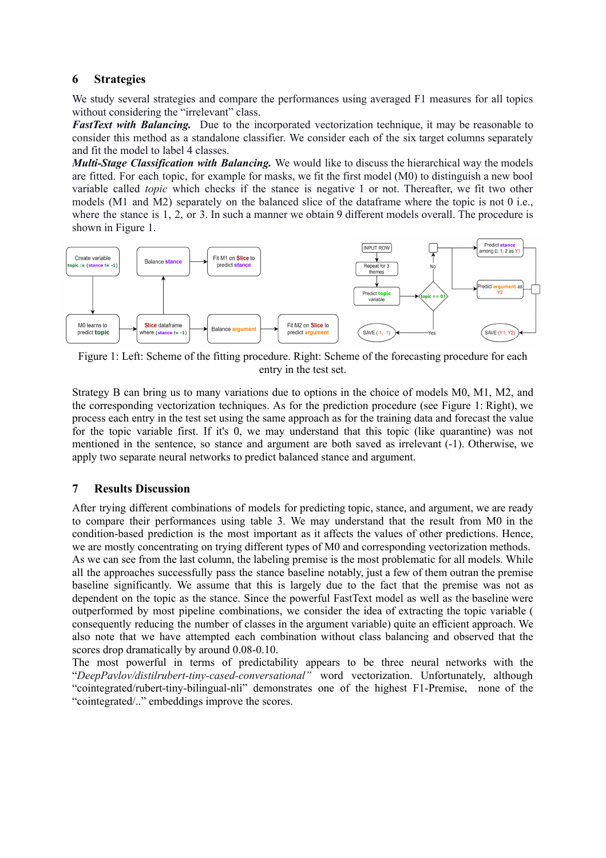### **6 Strategies**

We study several strategies and compare the performances using averaged F1 measures for all topics without considering the "irrelevant" class.

*FastText with Balancing.* Due to the incorporated vectorization technique, it may be reasonable to consider this method as a standalone classifier. We consider each of the six target columns separately and fit the model to label 4 classes.

*Multi-Stage Classification with Balancing.* We would like to discuss the hierarchical way the models are fitted. For each topic, for example for masks, we fit the first model (M0) to distinguish a new bool variable called *topic* which checks if the stance is negative 1 or not. Thereafter, we fit two other models (M1 and M2) separately on the balanced slice of the dataframe where the topic is not 0 i.e., where the stance is 1, 2, or 3. In such a manner we obtain 9 different models overall. The procedure is shown in Figure 1.



Figure 1: Left: Scheme of the fitting procedure. Right: Scheme of the forecasting procedure for each entry in the test set.

Strategy B can bring us to many variations due to options in the choice of models M0, M1, M2, and the corresponding vectorization techniques. As for the prediction procedure (see Figure 1: Right), we process each entry in the test set using the same approach as for the training data and forecast the value for the topic variable first. If it's 0, we may understand that this topic (like quarantine) was not mentioned in the sentence, so stance and argument are both saved as irrelevant (-1). Otherwise, we apply two separate neural networks to predict balanced stance and argument.

## **7 Results Discussion**

After trying different combinations of models for predicting topic, stance, and argument, we are ready to compare their performances using table 3. We may understand that the result from M0 in the condition-based prediction is the most important as it affects the values of other predictions. Hence, we are mostly concentrating on trying different types of M0 and corresponding vectorization methods. As we can see from the last column, the labeling premise is the most problematic for all models. While all the approaches successfully pass the stance baseline notably, just a few of them outran the premise baseline significantly. We assume that this is largely due to the fact that the premise was not as dependent on the topic as the stance. Since the powerful FastText model as well as the baseline were outperformed by most pipeline combinations, we consider the idea of extracting the topic variable ( consequently reducing the number of classes in the argument variable) quite an efficient approach. We also note that we have attempted each combination without class balancing and observed that the scores drop dramatically by around 0.08-0.10.

The most powerful in terms of predictability appears to be three neural networks with the "*DeepPavlov/distilrubert-tiny-cased-conversational"* word vectorization. Unfortunately, although "cointegrated/rubert-tiny-bilingual-nli" demonstrates one of the highest F1-Premise, none of the "cointegrated/.." embeddings improve the scores.